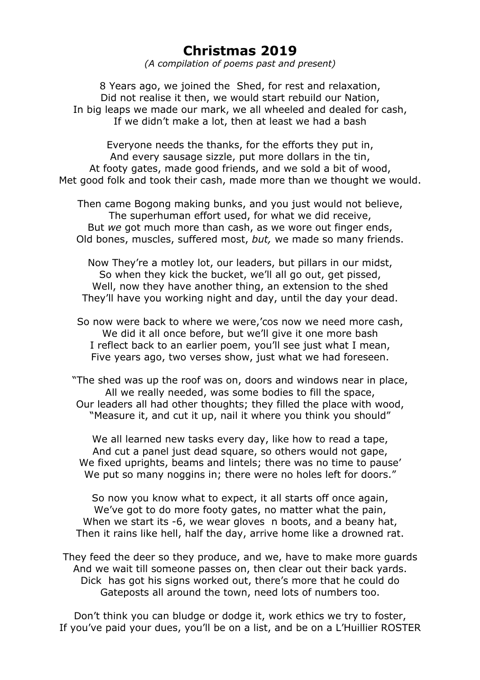## **Christmas 2019**

*(A compilation of poems past and present)*

8 Years ago, we joined the Shed, for rest and relaxation, Did not realise it then, we would start rebuild our Nation, In big leaps we made our mark, we all wheeled and dealed for cash, If we didn't make a lot, then at least we had a bash

Everyone needs the thanks, for the efforts they put in, And every sausage sizzle, put more dollars in the tin, At footy gates, made good friends, and we sold a bit of wood, Met good folk and took their cash, made more than we thought we would.

Then came Bogong making bunks, and you just would not believe, The superhuman effort used, for what we did receive, But *we* got much more than cash, as we wore out finger ends, Old bones, muscles, suffered most, *but,* we made so many friends.

Now They're a motley lot, our leaders, but pillars in our midst, So when they kick the bucket, we'll all go out, get pissed, Well, now they have another thing, an extension to the shed They'll have you working night and day, until the day your dead.

So now were back to where we were,'cos now we need more cash, We did it all once before, but we'll give it one more bash I reflect back to an earlier poem, you'll see just what I mean, Five years ago, two verses show, just what we had foreseen.

"The shed was up the roof was on, doors and windows near in place, All we really needed, was some bodies to fill the space, Our leaders all had other thoughts; they filled the place with wood, "Measure it, and cut it up, nail it where you think you should"

We all learned new tasks every day, like how to read a tape, And cut a panel just dead square, so others would not gape, We fixed uprights, beams and lintels; there was no time to pause' We put so many noggins in; there were no holes left for doors."

So now you know what to expect, it all starts off once again, We've got to do more footy gates, no matter what the pain, When we start its -6, we wear gloves n boots, and a beany hat, Then it rains like hell, half the day, arrive home like a drowned rat.

They feed the deer so they produce, and we, have to make more guards And we wait till someone passes on, then clear out their back yards. Dick has got his signs worked out, there's more that he could do Gateposts all around the town, need lots of numbers too.

Don't think you can bludge or dodge it, work ethics we try to foster, If you've paid your dues, you'll be on a list, and be on a L'Huillier ROSTER